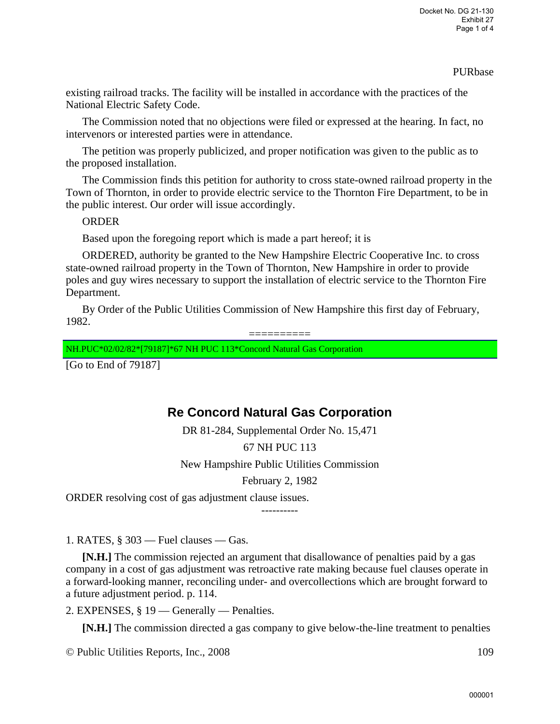#### PURbase

existing railroad tracks. The facility will be installed in accordance with the practices of the National Electric Safety Code.

The Commission noted that no objections were filed or expressed at the hearing. In fact, no intervenors or interested parties were in attendance.

The petition was properly publicized, and proper notification was given to the public as to the proposed installation.

The Commission finds this petition for authority to cross state-owned railroad property in the Town of Thornton, in order to provide electric service to the Thornton Fire Department, to be in the public interest. Our order will issue accordingly.

### ORDER

Based upon the foregoing report which is made a part hereof; it is

ORDERED, authority be granted to the New Hampshire Electric Cooperative Inc. to cross state-owned railroad property in the Town of Thornton, New Hampshire in order to provide poles and guy wires necessary to support the installation of electric service to the Thornton Fire Department.

By Order of the Public Utilities Commission of New Hampshire this first day of February, 1982.

==========

NH.PUC\*02/02/82\*[79187]\*67 NH PUC 113\*Concord Natural Gas Corporation

[Go to End of 79187]

# **Re Concord Natural Gas Corporation**

DR 81-284, Supplemental Order No. 15,471

## 67 NH PUC 113

New Hampshire Public Utilities Commission

February 2, 1982

ORDER resolving cost of gas adjustment clause issues.

----------

1. RATES,  $\S 303$  — Fuel clauses — Gas.

**[N.H.]** The commission rejected an argument that disallowance of penalties paid by a gas company in a cost of gas adjustment was retroactive rate making because fuel clauses operate in a forward-looking manner, reconciling under- and overcollections which are brought forward to a future adjustment period. p. 114.

2. EXPENSES, § 19 — Generally — Penalties.

**[N.H.]** The commission directed a gas company to give below-the-line treatment to penalties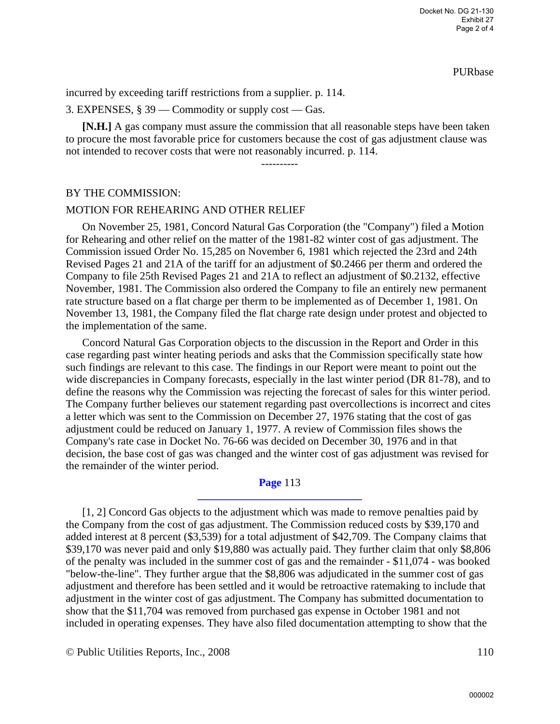PURbase

incurred by exceeding tariff restrictions from a supplier. p. 114.

3. EXPENSES, § 39 — Commodity or supply cost — Gas.

**[N.H.]** A gas company must assure the commission that all reasonable steps have been taken to procure the most favorable price for customers because the cost of gas adjustment clause was not intended to recover costs that were not reasonably incurred. p. 114.

----------

BY THE COMMISSION:

#### MOTION FOR REHEARING AND OTHER RELIEF

On November 25, 1981, Concord Natural Gas Corporation (the "Company") filed a Motion for Rehearing and other relief on the matter of the 1981-82 winter cost of gas adjustment. The Commission issued Order No. 15,285 on November 6, 1981 which rejected the 23rd and 24th Revised Pages 21 and 21A of the tariff for an adjustment of \$0.2466 per therm and ordered the Company to file 25th Revised Pages 21 and 21A to reflect an adjustment of \$0.2132, effective November, 1981. The Commission also ordered the Company to file an entirely new permanent rate structure based on a flat charge per therm to be implemented as of December 1, 1981. On November 13, 1981, the Company filed the flat charge rate design under protest and objected to the implementation of the same.

Concord Natural Gas Corporation objects to the discussion in the Report and Order in this case regarding past winter heating periods and asks that the Commission specifically state how such findings are relevant to this case. The findings in our Report were meant to point out the wide discrepancies in Company forecasts, especially in the last winter period (DR 81-78), and to define the reasons why the Commission was rejecting the forecast of sales for this winter period. The Company further believes our statement regarding past overcollections is incorrect and cites a letter which was sent to the Commission on December 27, 1976 stating that the cost of gas adjustment could be reduced on January 1, 1977. A review of Commission files shows the Company's rate case in Docket No. 76-66 was decided on December 30, 1976 and in that decision, the base cost of gas was changed and the winter cost of gas adjustment was revised for the remainder of the winter period.

#### **Page** 113 **\_\_\_\_\_\_\_\_\_\_\_\_\_\_\_\_\_\_\_\_\_\_\_\_\_\_\_\_\_\_**

[1, 2] Concord Gas objects to the adjustment which was made to remove penalties paid by the Company from the cost of gas adjustment. The Commission reduced costs by \$39,170 and added interest at 8 percent (\$3,539) for a total adjustment of \$42,709. The Company claims that \$39,170 was never paid and only \$19,880 was actually paid. They further claim that only \$8,806 of the penalty was included in the summer cost of gas and the remainder - \$11,074 - was booked "below-the-line". They further argue that the \$8,806 was adjudicated in the summer cost of gas adjustment and therefore has been settled and it would be retroactive ratemaking to include that adjustment in the winter cost of gas adjustment. The Company has submitted documentation to show that the \$11,704 was removed from purchased gas expense in October 1981 and not included in operating expenses. They have also filed documentation attempting to show that the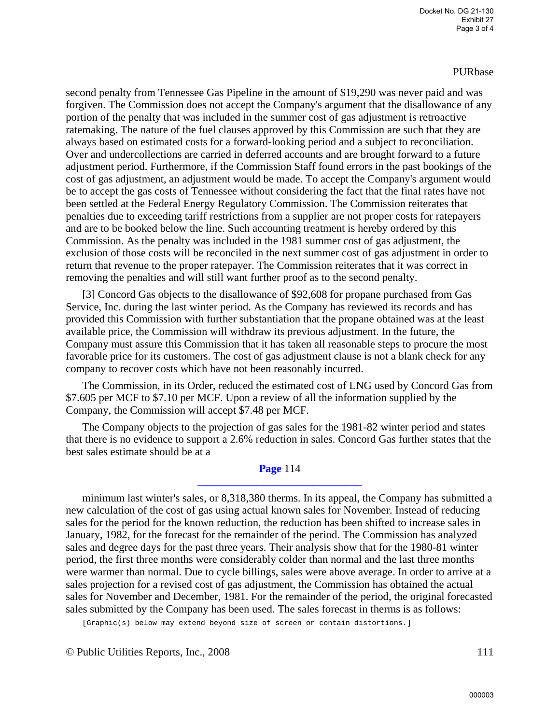#### PURbase

second penalty from Tennessee Gas Pipeline in the amount of \$19,290 was never paid and was forgiven. The Commission does not accept the Company's argument that the disallowance of any portion of the penalty that was included in the summer cost of gas adjustment is retroactive ratemaking. The nature of the fuel clauses approved by this Commission are such that they are always based on estimated costs for a forward-looking period and a subject to reconciliation. Over and undercollections are carried in deferred accounts and are brought forward to a future adjustment period. Furthermore, if the Commission Staff found errors in the past bookings of the cost of gas adjustment, an adjustment would be made. To accept the Company's argument would be to accept the gas costs of Tennessee without considering the fact that the final rates have not been settled at the Federal Energy Regulatory Commission. The Commission reiterates that penalties due to exceeding tariff restrictions from a supplier are not proper costs for ratepayers and are to be booked below the line. Such accounting treatment is hereby ordered by this Commission. As the penalty was included in the 1981 summer cost of gas adjustment, the exclusion of those costs will be reconciled in the next summer cost of gas adjustment in order to return that revenue to the proper ratepayer. The Commission reiterates that it was correct in removing the penalties and will still want further proof as to the second penalty.

[3] Concord Gas objects to the disallowance of \$92,608 for propane purchased from Gas Service, Inc. during the last winter period. As the Company has reviewed its records and has provided this Commission with further substantiation that the propane obtained was at the least available price, the Commission will withdraw its previous adjustment. In the future, the Company must assure this Commission that it has taken all reasonable steps to procure the most favorable price for its customers. The cost of gas adjustment clause is not a blank check for any company to recover costs which have not been reasonably incurred.

The Commission, in its Order, reduced the estimated cost of LNG used by Concord Gas from \$7.605 per MCF to \$7.10 per MCF. Upon a review of all the information supplied by the Company, the Commission will accept \$7.48 per MCF.

The Company objects to the projection of gas sales for the 1981-82 winter period and states that there is no evidence to support a 2.6% reduction in sales. Concord Gas further states that the best sales estimate should be at a

#### **Page** 114 **\_\_\_\_\_\_\_\_\_\_\_\_\_\_\_\_\_\_\_\_\_\_\_\_\_\_\_\_\_\_**

minimum last winter's sales, or 8,318,380 therms. In its appeal, the Company has submitted a new calculation of the cost of gas using actual known sales for November. Instead of reducing sales for the period for the known reduction, the reduction has been shifted to increase sales in January, 1982, for the forecast for the remainder of the period. The Commission has analyzed sales and degree days for the past three years. Their analysis show that for the 1980-81 winter period, the first three months were considerably colder than normal and the last three months were warmer than normal. Due to cycle billings, sales were above average. In order to arrive at a sales projection for a revised cost of gas adjustment, the Commission has obtained the actual sales for November and December, 1981. For the remainder of the period, the original forecasted sales submitted by the Company has been used. The sales forecast in therms is as follows:

[Graphic(s) below may extend beyond size of screen or contain distortions.]